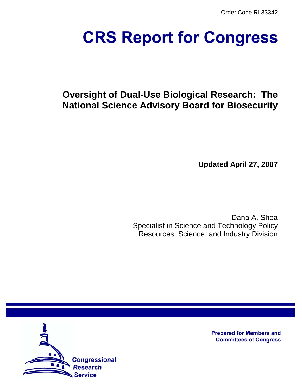Order Code RL33342

# **CRS Report for Congress**

# **Oversight of Dual-Use Biological Research: The National Science Advisory Board for Biosecurity**

**Updated April 27, 2007**

Dana A. Shea Specialist in Science and Technology Policy Resources, Science, and Industry Division



**Prepared for Members and Committees of Congress**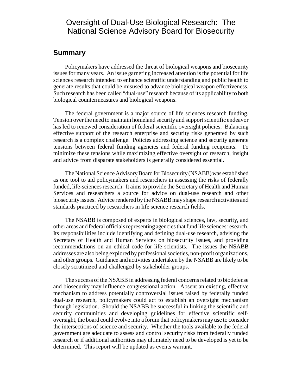## Oversight of Dual-Use Biological Research: The National Science Advisory Board for Biosecurity

#### **Summary**

Policymakers have addressed the threat of biological weapons and biosecurity issues for many years. An issue garnering increased attention is the potential for life sciences research intended to enhance scientific understanding and public health to generate results that could be misused to advance biological weapon effectiveness. Such research has been called "dual-use" research because of its applicability to both biological countermeasures and biological weapons.

The federal government is a major source of life sciences research funding. Tension over the need to maintain homeland security and support scientific endeavor has led to renewed consideration of federal scientific oversight policies. Balancing effective support of the research enterprise and security risks generated by such research is a complex challenge. Policies addressing science and security generate tensions between federal funding agencies and federal funding recipients. To minimize these tensions while maximizing effective oversight of research, insight and advice from disparate stakeholders is generally considered essential.

The National Science Advisory Board for Biosecurity (NSABB) was established as one tool to aid policymakers and researchers in assessing the risks of federally funded, life-sciences research. It aims to provide the Secretary of Health and Human Services and researchers a source for advice on dual-use research and other biosecurity issues. Advice rendered by the NSABB may shape research activities and standards practiced by researchers in life science research fields.

The NSABB is composed of experts in biological sciences, law, security, and other areas and federal officials representing agencies that fund life sciences research. Its responsibilities include identifying and defining dual-use research, advising the Secretary of Health and Human Services on biosecurity issues, and providing recommendations on an ethical code for life scientists. The issues the NSABB addresses are also being explored by professional societies, non-profit organizations, and other groups. Guidance and activities undertaken by the NSABB are likely to be closely scrutinized and challenged by stakeholder groups.

The success of the NSABB in addressing federal concerns related to biodefense and biosecurity may influence congressional action. Absent an existing, effective mechanism to address potentially controversial issues raised by federally funded dual-use research, policymakers could act to establish an oversight mechanism through legislation. Should the NSABB be successful in linking the scientific and security communities and developing guidelines for effective scientific selfoversight, the board could evolve into a forum that policymakers may use to consider the intersections of science and security. Whether the tools available to the federal government are adequate to assess and control security risks from federally funded research or if additional authorities may ultimately need to be developed is yet to be determined. This report will be updated as events warrant.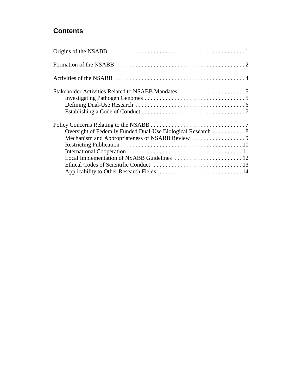# **Contents**

| Applicability to Other Research Fields  14 |  |
|--------------------------------------------|--|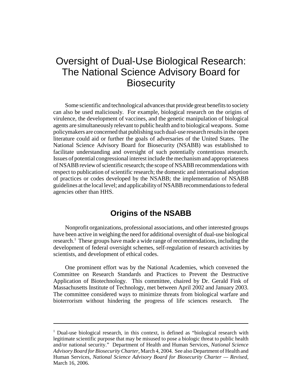# Oversight of Dual-Use Biological Research: The National Science Advisory Board for **Biosecurity**

Some scientific and technological advances that provide great benefits to society can also be used maliciously. For example, biological research on the origins of virulence, the development of vaccines, and the genetic manipulation of biological agents are simultaneously relevant to public health and to biological weapons. Some policymakers are concerned that publishing such dual-use research results in the open literature could aid or further the goals of adversaries of the United States. The National Science Advisory Board for Biosecurity (NSABB) was established to facilitate understanding and oversight of such potentially contentious research. Issues of potential congressional interest include the mechanism and appropriateness of NSABB review of scientific research; the scope of NSABB recommendations with respect to publication of scientific research; the domestic and international adoption of practices or codes developed by the NSABB; the implementation of NSABB guidelines at the local level; and applicability of NSABB recommendations to federal agencies other than HHS.

## **Origins of the NSABB**

Nonprofit organizations, professional associations, and other interested groups have been active in weighing the need for additional oversight of dual-use biological research.<sup>1</sup> These groups have made a wide range of recommendations, including the development of federal oversight schemes, self-regulation of research activities by scientists, and development of ethical codes.

One prominent effort was by the National Academies, which convened the Committee on Research Standards and Practices to Prevent the Destructive Application of Biotechnology. This committee, chaired by Dr. Gerald Fink of Massachusetts Institute of Technology, met between April 2002 and January 2003. The committee considered ways to minimize threats from biological warfare and bioterrorism without hindering the progress of life sciences research. The

<sup>&</sup>lt;sup>1</sup> Dual-use biological research, in this context, is defined as "biological research with legitimate scientific purpose that may be misused to pose a biologic threat to public health and/or national security." Department of Health and Human Services, *National Science Advisory Board for Biosecurity Charter*, March 4, 2004. See also Department of Health and Human Services, *National Science Advisory Board for Biosecurity Charter — Revised*, March 16, 2006.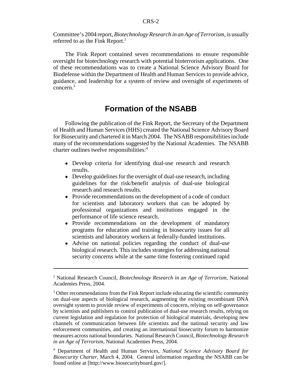Committee's 2004 report, *Biotechnology Research in an Age of Terrorism*, is usually referred to as the Fink Report.<sup>2</sup>

The Fink Report contained seven recommendations to ensure responsible oversight for biotechnology research with potential bioterrorism applications. One of these recommendations was to create a National Science Advisory Board for Biodefense within the Department of Health and Human Services to provide advice, guidance, and leadership for a system of review and oversight of experiments of concern.3

#### **Formation of the NSABB**

Following the publication of the Fink Report, the Secretary of the Department of Health and Human Services (HHS) created the National Science Advisory Board for Biosecurity and chartered it in March 2004. The NSABB responsibilities include many of the recommendations suggested by the National Academies. The NSABB charter outlines twelve responsibilities:<sup>4</sup>

- ! Develop criteria for identifying dual-use research and research results.
- Develop guidelines for the oversight of dual-use research, including guidelines for the risk/benefit analysis of dual-use biological research and research results.
- Provide recommendations on the development of a code of conduct for scientists and laboratory workers that can be adopted by professional organizations and institutions engaged in the performance of life science research.
- Provide recommendations on the development of mandatory programs for education and training in biosecurity issues for all scientists and laboratory workers at federally-funded institutions.
- ! Advise on national policies regarding the conduct of dual-use biological research. This includes strategies for addressing national security concerns while at the same time fostering continued rapid

<sup>2</sup> National Research Council, *Biotechnology Research in an Age of Terrorism*, National Academies Press, 2004.

 $3$  Other recommendations from the Fink Report include educating the scientific community on dual-use aspects of biological research, augmenting the existing recombinant DNA oversight system to provide review of experiments of concern, relying on self-governance by scientists and publishers to control publication of dual-use research results, relying on current legislation and regulation for protection of biological materials, developing new channels of communication between life scientists and the national security and law enforcement communities, and creating an international biosecurity forum to harmonize measures across national boundaries. National Research Council, *Biotechnology Research in an Age of Terrorism*, National Academies Press, 2004.

<sup>4</sup> Department of Health and Human Services, *National Science Advisory Board for Biosecurity Charter*, March 4, 2004. General information regarding the NSABB can be found online at [http://www.biosecurityboard.gov/].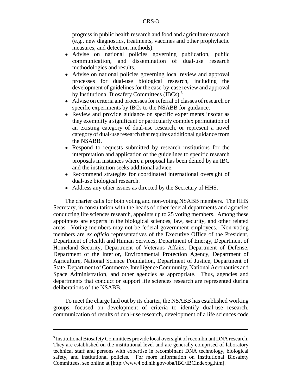progress in public health research and food and agriculture research (e.g., new diagnostics, treatments, vaccines and other prophylactic measures, and detection methods).

- ! Advise on national policies governing publication, public communication, and dissemination of dual-use research methodologies and results.
- ! Advise on national policies governing local review and approval processes for dual-use biological research, including the development of guidelines for the case-by-case review and approval by Institutional Biosafety Committees (IBCs).<sup>5</sup>
- ! Advise on criteria and processes for referral of classes of research or specific experiments by IBCs to the NSABB for guidance.
- Review and provide guidance on specific experiments insofar as they exemplify a significant or particularly complex permutation of an existing category of dual-use research, or represent a novel category of dual-use research that requires additional guidance from the NSABB.
- Respond to requests submitted by research institutions for the interpretation and application of the guidelines to specific research proposals in instances where a proposal has been denied by an IBC and the institution seeks additional advice.
- Recommend strategies for coordinated international oversight of dual-use biological research.
- ! Address any other issues as directed by the Secretary of HHS.

The charter calls for both voting and non-voting NSABB members. The HHS Secretary, in consultation with the heads of other federal departments and agencies conducting life sciences research, appoints up to 25 voting members. Among these appointees are experts in the biological sciences, law, security, and other related areas. Voting members may not be federal government employees. Non-voting members are *ex officio* representatives of the Executive Office of the President, Department of Health and Human Services, Department of Energy, Department of Homeland Security, Department of Veterans Affairs, Department of Defense, Department of the Interior, Environmental Protection Agency, Department of Agriculture, National Science Foundation, Department of Justice, Department of State, Department of Commerce, Intelligence Community, National Aeronautics and Space Administration, and other agencies as appropriate. Thus, agencies and departments that conduct or support life sciences research are represented during deliberations of the NSABB.

To meet the charge laid out by its charter, the NSABB has established working groups, focused on development of criteria to identify dual-use research, communication of results of dual-use research, development of a life sciences code

<sup>&</sup>lt;sup>5</sup> Institutional Biosafety Committees provide local oversight of recombinant DNA research. They are established on the institutional level and are generally comprised of laboratory technical staff and persons with expertise in recombinant DNA technology, biological safety, and institutional policies. For more information on Institutional Biosafety Committees, see online at [http://www4.od.nih.gov/oba/IBC/IBCindexpg.htm].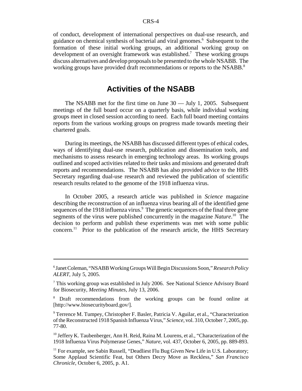of conduct, development of international perspectives on dual-use research, and guidance on chemical synthesis of bacterial and viral genomes.<sup>6</sup> Subsequent to the formation of these initial working groups, an additional working group on development of an oversight framework was established.<sup>7</sup> These working groups discuss alternatives and develop proposals to be presented to the whole NSABB. The working groups have provided draft recommendations or reports to the NSABB.<sup>8</sup>

#### **Activities of the NSABB**

The NSABB met for the first time on June 30 — July 1, 2005. Subsequent meetings of the full board occur on a quarterly basis, while individual working groups meet in closed session according to need. Each full board meeting contains reports from the various working groups on progress made towards meeting their chartered goals.

During its meetings, the NSABB has discussed different types of ethical codes, ways of identifying dual-use research, publication and dissemination tools, and mechanisms to assess research in emerging technology areas. Its working groups outlined and scoped activities related to their tasks and missions and generated draft reports and recommendations. The NSABB has also provided advice to the HHS Secretary regarding dual-use research and reviewed the publication of scientific research results related to the genome of the 1918 influenza virus.

In October 2005, a research article was published in *Science* magazine describing the reconstruction of an influenza virus bearing all of the identified gene sequences of the 1918 influenza virus.<sup>9</sup> The genetic sequences of the final three gene segments of the virus were published concurrently in the magazine *Nature*. 10 The decision to perform and publish these experiments was met with some public concern.<sup>11</sup> Prior to the publication of the research article, the HHS Secretary

<sup>6</sup> Janet Coleman, "NSABB Working Groups Will Begin Discussions Soon," *Research Policy ALERT*, July 5, 2005.

<sup>&</sup>lt;sup>7</sup> This working group was established in July 2006. See National Science Advisory Board for Biosecurity, *Meeting Minutes*, July 13, 2006.

<sup>&</sup>lt;sup>8</sup> Draft recommendations from the working groups can be found online at [http://www.biosecurityboard.gov/].

<sup>&</sup>lt;sup>9</sup> Terrence M. Tumpey, Christopher F. Basler, Patricia V. Aguilar, et al., "Characterization of the Reconstructed 1918 Spanish Influenza Virus," *Science*, vol. 310, October 7, 2005, pp. 77-80.

 $10$  Jeffery K. Taubenberger, Ann H. Reid, Raina M. Lourens, et al., "Characterization of the 1918 Influenza Virus Polymerase Genes," *Nature*, vol. 437, October 6, 2005, pp. 889-893.

 $11$  For example, see Sabin Russell, "Deadliest Flu Bug Given New Life in U.S. Laboratory; Some Applaud Scientific Feat, but Others Decry Move as Reckless," *San Francisco Chronicle*, October 6, 2005, p. A1.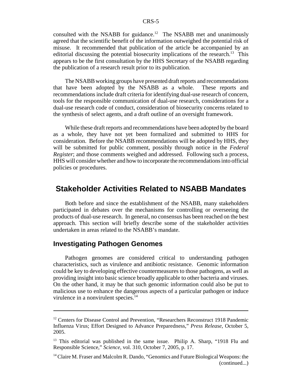consulted with the NSABB for guidance.<sup>12</sup> The NSABB met and unanimously agreed that the scientific benefit of the information outweighed the potential risk of misuse. It recommended that publication of the article be accompanied by an editorial discussing the potential biosecurity implications of the research.<sup>13</sup> This appears to be the first consultation by the HHS Secretary of the NSABB regarding the publication of a research result prior to its publication.

The NSABB working groups have presented draft reports and recommendations that have been adopted by the NSABB as a whole. These reports and recommendations include draft criteria for identifying dual-use research of concern, tools for the responsible communication of dual-use research, considerations for a dual-use research code of conduct, consideration of biosecurity concerns related to the synthesis of select agents, and a draft outline of an oversight framework.

While these draft reports and recommendations have been adopted by the board as a whole, they have not yet been formalized and submitted to HHS for consideration. Before the NSABB recommendations will be adopted by HHS, they will be submitted for public comment, possibly through notice in the *Federal Register*; and those comments weighed and addressed. Following such a process, HHS will consider whether and how to incorporate the recommendations into official policies or procedures.

#### **Stakeholder Activities Related to NSABB Mandates**

Both before and since the establishment of the NSABB, many stakeholders participated in debates over the mechanisms for controlling or overseeing the products of dual-use research. In general, no consensus has been reached on the best approach. This section will briefly describe some of the stakeholder activities undertaken in areas related to the NSABB's mandate.

#### **Investigating Pathogen Genomes**

Pathogen genomes are considered critical to understanding pathogen characteristics, such as virulence and antibiotic resistance. Genomic information could be key to developing effective countermeasures to those pathogens, as well as providing insight into basic science broadly applicable to other bacteria and viruses. On the other hand, it may be that such genomic information could also be put to malicious use to enhance the dangerous aspects of a particular pathogen or induce virulence in a nonvirulent species. $14$ 

<sup>&</sup>lt;sup>12</sup> Centers for Disease Control and Prevention, "Researchers Reconstruct 1918 Pandemic Influenza Virus; Effort Designed to Advance Preparedness," *Press Release*, October 5, 2005.

<sup>&</sup>lt;sup>13</sup> This editorial was published in the same issue. Philip A. Sharp, "1918 Flu and Responsible Science," *Science*, vol. 310, October 7, 2005, p. 17.

<sup>&</sup>lt;sup>14</sup> Claire M. Fraser and Malcolm R. Dando, "Genomics and Future Biological Weapons: the (continued...)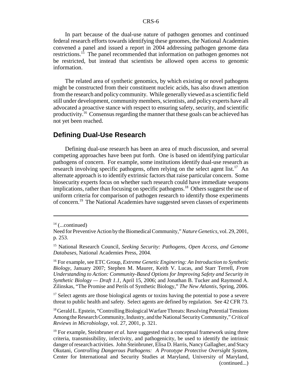In part because of the dual-use nature of pathogen genomes and continued federal research efforts towards identifying these genomes, the National Academies convened a panel and issued a report in 2004 addressing pathogen genome data restrictions.15 The panel recommended that information on pathogen genomes not be restricted, but instead that scientists be allowed open access to genomic information.

The related area of synthetic genomics, by which existing or novel pathogens might be constructed from their constituent nucleic acids, has also drawn attention from the research and policy community. While generally viewed as a scientific field still under development, community members, scientists, and policy experts have all advocated a proactive stance with respect to ensuring safety, security, and scientific productivity.16 Consensus regarding the manner that these goals can be achieved has not yet been reached.

#### **Defining Dual-Use Research**

Defining dual-use research has been an area of much discussion, and several competing approaches have been put forth. One is based on identifying particular pathogens of concern. For example, some institutions identify dual-use research as research involving specific pathogens, often relying on the select agent list.<sup>17</sup> An alternate approach is to identify extrinsic factors that raise particular concern. Some biosecurity experts focus on whether such research could have immediate weapons implications, rather than focusing on specific pathogens.<sup>18</sup> Others suggest the use of uniform criteria for comparison of pathogen research to identify those experiments of concern.19 The National Academies have suggested seven classes of experiments

 $17$  Select agents are those biological agents or toxins having the potential to pose a severe threat to public health and safety. Select agents are defined by regulation. See 42 CFR 73.

 $14$  (...continued)

Need for Preventive Action by the Biomedical Community," *Nature Genetics*, vol. 29, 2001, p. 253.

<sup>15</sup> National Research Council, *Seeking Security: Pathogens, Open Access, and Genome Databases*, National Academies Press, 2004.

<sup>16</sup> For example, see ETC Group, *Extreme Genetic Enginering: An Introduction to Synthetic Biology*, January 2007; Stephen M. Maurer, Keith V. Lucas, and Starr Terrell, *From Understanding to Action: Community-Based Options for Improving Safety and Security in Synthetic Biology — Draft 1.1*, April 15, 2006; and Jonathan B. Tucker and Raymond A. Zilinskas, "The Promise and Perils of Synthetic Biology," *The New Atlantis*, Spring, 2006.

<sup>&</sup>lt;sup>18</sup> Gerald L. Epstein, "Controlling Biological Warfare Threats: Resolving Potential Tensions Among the Research Community, Industry, and the National Security Community," *Critical Reviews in Microbiology*, vol. 27, 2001, p. 321.

<sup>&</sup>lt;sup>19</sup> For example, Steinbruner *et al.* have suggested that a conceptual framework using three criteria, transmissibility, infectivity, and pathogenicity, be used to identify the intrinsic danger of research activities. John Steinbruner, Elisa D. Harris, Nancy Gallagher, and Stacy Okutani, *Controlling Dangerous Pathogens: A Prototype Protective Oversight System*, Center for International and Security Studies at Maryland, University of Maryland, (continued...)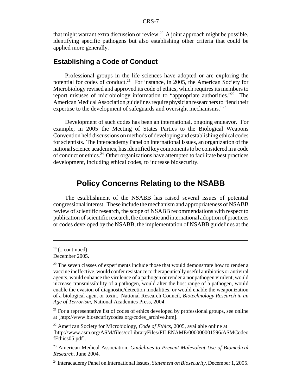that might warrant extra discussion or review.<sup>20</sup> A joint approach might be possible, identifying specific pathogens but also establishing other criteria that could be applied more generally.

#### **Establishing a Code of Conduct**

Professional groups in the life sciences have adopted or are exploring the potential for codes of conduct.<sup>21</sup> For instance, in 2005, the American Society for Microbiology revised and approved its code of ethics, which requires its members to report misuses of microbiology information to "appropriate authorities."<sup>22</sup> The American Medical Association guidelines require physician researchers to "lend their expertise to the development of safeguards and oversight mechanisms."<sup>23</sup>

Development of such codes has been an international, ongoing endeavor. For example, in 2005 the Meeting of States Parties to the Biological Weapons Convention held discussions on methods of developing and establishing ethical codes for scientists. The Interacademy Panel on International Issues, an organization of the national science academies, has identified key components to be considered in a code of conduct or ethics.24 Other organizations have attempted to facilitate best practices development, including ethical codes, to increase biosecurity.

#### **Policy Concerns Relating to the NSABB**

The establishment of the NSABB has raised several issues of potential congressional interest. These include the mechanism and appropriateness of NSABB review of scientific research, the scope of NSABB recommendations with respect to publication of scientific research, the domestic and international adoption of practices or codes developed by the NSABB, the implementation of NSABB guidelines at the

 $21$  For a representative list of codes of ethics developed by professional groups, see online at [http://www.biosecuritycodes.org/codes\_archive.htm].

 $19$  (...continued)

December 2005.

 $20$  The seven classes of experiments include those that would demonstrate how to render a vaccine ineffective, would confer resistance to therapeutically useful antibiotics or antiviral agents, would enhance the virulence of a pathogen or render a nonpathogen virulent, would increase transmissibility of a pathogen, would alter the host range of a pathogen, would enable the evasion of diagnostic/detection modalities, or would enable the weaponization of a biological agent or toxin. National Research Council, *Biotechnology Research in an Age of Terrorism*, National Academies Press, 2004.

<sup>22</sup> American Society for Microbiology, *Code of Ethics*, 2005, available online at [http://www.asm.org/ASM/files/ccLibraryFiles/FILENAME/000000001596/ASMCodeo fEthics05.pdf].

<sup>23</sup> American Medical Association, *Guidelines to Prevent Malevolent Use of Biomedical Research*, June 2004.

<sup>24</sup> Interacademy Panel on International Issues, *Statement on Biosecurity*, December 1, 2005.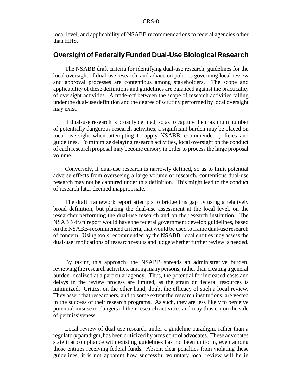local level, and applicability of NSABB recommendations to federal agencies other than HHS.

#### **Oversight of Federally Funded Dual-Use Biological Research**

The NSABB draft criteria for identifying dual-use research, guidelines for the local oversight of dual-use research, and advice on policies governing local review and approval processes are contentious among stakeholders. The scope and applicability of these definitions and guidelines are balanced against the practicality of oversight activities. A trade-off between the scope of research activities falling under the dual-use definition and the degree of scrutiny performed by local oversight may exist.

If dual-use research is broadly defined, so as to capture the maximum number of potentially dangerous research activities, a significant burden may be placed on local oversight when attempting to apply NSABB-recommended policies and guidelines. To minimize delaying research activities, local oversight on the conduct of each research proposal may become cursory in order to process the large proposal volume.

Conversely, if dual-use research is narrowly defined, so as to limit potential adverse effects from overseeing a large volume of research, contentious dual-use research may not be captured under this definition. This might lead to the conduct of research later deemed inappropriate.

The draft framework report attempts to bridge this gap by using a relatively broad definition, but placing the dual-use assessment at the local level, on the researcher performing the dual-use research and on the research institution. The NSABB draft report would have the federal government develop guidelines, based on the NSABB-recommended criteria, that would be used to frame dual-use research of concern. Using tools recommended by the NSABB, local entities may assess the dual-use implications of research results and judge whether further review is needed.

By taking this approach, the NSABB spreads an administrative burden, reviewing the research activities, among many persons, rather than creating a general burden localized at a particular agency. Thus, the potential for increased costs and delays in the review process are limited, as the strain on federal resources is minimized. Critics, on the other hand, doubt the efficacy of such a local review. They assert that researchers, and to some extent the research institutions, are vested in the success of their research programs. As such, they are less likely to perceive potential misuse or dangers of their research activities and may thus err on the side of permissiveness.

Local review of dual-use research under a guideline paradigm, rather than a regulatory paradigm, has been criticized by arms control advocates. These advocates state that compliance with existing guidelines has not been uniform, even among those entities receiving federal funds. Absent clear penalties from violating these guidelines, it is not apparent how successful voluntary local review will be in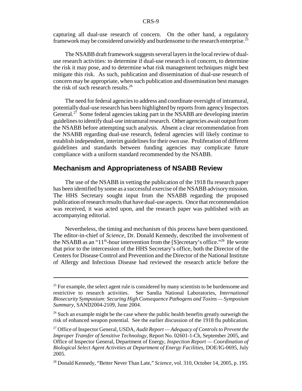capturing all dual-use research of concern. On the other hand, a regulatory framework may be considered unwieldy and burdensome to the research enterprise.<sup>25</sup>

The NSABB draft framework suggests several layers in the local review of dualuse research activities: to determine if dual-use research is of concern, to determine the risk it may pose, and to determine what risk management techniques might best mitigate this risk. As such, publication and dissemination of dual-use research of concern may be appropriate, when such publication and dissemination best manages the risk of such research results. $^{26}$ 

The need for federal agencies to address and coordinate oversight of intramural, potentially dual-use research has been highlighted by reports from agency Inspectors General.<sup>27</sup> Some federal agencies taking part in the NSABB are developing interim guidelines to identify dual-use intramural research. Other agencies await output from the NSABB before attempting such analysis. Absent a clear recommendation from the NSABB regarding dual-use research, federal agencies will likely continue to establish independent, interim guidelines for their own use. Proliferation of different guidelines and standards between funding agencies may complicate future compliance with a uniform standard recommended by the NSABB.

#### **Mechanism and Appropriateness of NSABB Review**

The use of the NSABB in vetting the publication of the 1918 flu research paper has been identified by some as a successful exercise of the NSABB advisory mission. The HHS Secretary sought input from the NSABB regarding the proposed publication of research results that have dual-use aspects. Once that recommendation was received, it was acted upon, and the research paper was published with an accompanying editorial.

Nevertheless, the timing and mechanism of this process have been questioned. The editor-in-chief of *Science*, Dr. Donald Kennedy, described the involvement of the NSABB as an "11<sup>th</sup>-hour intervention from the [S]ecretary's office."<sup>28</sup> He wrote that prior to the intercession of the HHS Secretary's office, both the Director of the Centers for Disease Control and Prevention and the Director of the National Institute of Allergy and Infectious Disease had reviewed the research article before the

 $25$  For example, the select agent rule is considered by many scientists to be burdensome and restrictive to research activities. See Sandia National Laboratories, *International Biosecurity Symposium: Securing High Consequence Pathogens and Toxins — Symposium Summary*, SAND2004-2109, June 2004.

<sup>&</sup>lt;sup>26</sup> Such an example might be the case where the public health benefits greatly outweigh the risk of enhanced weapon potential. See the earlier discussion of the 1918 flu publication.

<sup>27</sup> Office of Inspector General, USDA, *Audit Report — Adequacy of Controls to Prevent the Improper Transfer of Sensitive Technology*, Report No. 02601-1-Ch, September 2005, and Office of Inspector General, Department of Energy, *Inspection Report — Coordination of Biological Select Agent Activities at Department of Energy Facilities*, DOE/IG-0695, July 2005.

<sup>28</sup> Donald Kennedy, "Better Never Than Late," *Science*, vol. 310, October 14, 2005, p. 195.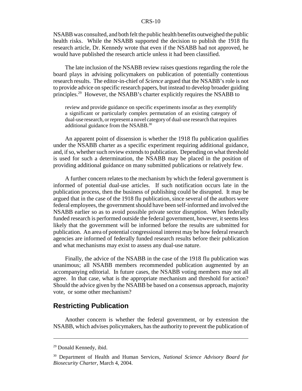#### CRS-10

NSABB was consulted, and both felt the public health benefits outweighed the public health risks. While the NSABB supported the decision to publish the 1918 flu research article, Dr. Kennedy wrote that even if the NSABB had not approved, he would have published the research article unless it had been classified.

The late inclusion of the NSABB review raises questions regarding the role the board plays in advising policymakers on publication of potentially contentious research results. The editor-in-chief of *Science* argued that the NSABB's role is not to provide advice on specific research papers, but instead to develop broader guiding principles.29 However, the NSABB's charter explicitly requires the NSABB to

review and provide guidance on specific experiments insofar as they exemplify a significant or particularly complex permutation of an existing category of dual-use research, or represent a novel category of dual-use research that requires additional guidance from the NSABB.<sup>30</sup>

An apparent point of dissension is whether the 1918 flu publication qualifies under the NSABB charter as a specific experiment requiring additional guidance, and, if so, whether such review extends to publication. Depending on what threshold is used for such a determination, the NSABB may be placed in the position of providing additional guidance on many submitted publications or relatively few.

A further concern relates to the mechanism by which the federal government is informed of potential dual-use articles. If such notification occurs late in the publication process, then the business of publishing could be disrupted. It may be argued that in the case of the 1918 flu publication, since several of the authors were federal employees, the government should have been self-informed and involved the NSABB earlier so as to avoid possible private sector disruption. When federally funded research is performed outside the federal government, however, it seems less likely that the government will be informed before the results are submitted for publication. An area of potential congressional interest may be how federal research agencies are informed of federally funded research results before their publication and what mechanisms may exist to assess any dual-use nature.

Finally, the advice of the NSABB in the case of the 1918 flu publication was unanimous; all NSABB members recommended publication augmented by an accompanying editorial. In future cases, the NSABB voting members may not all agree. In that case, what is the appropriate mechanism and threshold for action? Should the advice given by the NSABB be based on a consensus approach, majority vote, or some other mechanism?

#### **Restricting Publication**

Another concern is whether the federal government, or by extension the NSABB, which advises policymakers, has the authority to prevent the publication of

<sup>29</sup> Donald Kennedy, ibid.

<sup>30</sup> Department of Health and Human Services, *National Science Advisory Board for Biosecurity Charter*, March 4, 2004.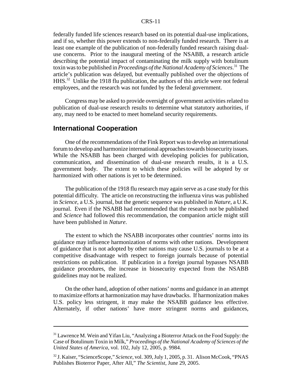#### CRS-11

federally funded life sciences research based on its potential dual-use implications, and if so, whether this power extends to non-federally funded research. There is at least one example of the publication of non-federally funded research raising dualuse concerns. Prior to the inaugural meeting of the NSABB, a research article describing the potential impact of contaminating the milk supply with botulinum toxin was to be published in *Proceedings of the National Academy of Sciences*. 31 The article's publication was delayed, but eventually published over the objections of HHS.32 Unlike the 1918 flu publication, the authors of this article were not federal employees, and the research was not funded by the federal government.

Congress may be asked to provide oversight of government activities related to publication of dual-use research results to determine what statutory authorities, if any, may need to be enacted to meet homeland security requirements.

#### **International Cooperation**

One of the recommendations of the Fink Report was to develop an international forum to develop and harmonize international approaches towards biosecurity issues. While the NSABB has been charged with developing policies for publication, communication, and dissemination of dual-use research results, it is a U.S. government body. The extent to which these policies will be adopted by or harmonized with other nations is yet to be determined.

The publication of the 1918 flu research may again serve as a case study for this potential difficulty. The article on reconstructing the influenza virus was published in *Science*, a U.S. journal, but the genetic sequence was published in *Nature*, a U.K. journal. Even if the NSABB had recommended that the research not be published and *Science* had followed this recommendation, the companion article might still have been published in *Nature*.

The extent to which the NSABB incorporates other countries' norms into its guidance may influence harmonization of norms with other nations. Development of guidance that is not adopted by other nations may cause U.S. journals to be at a competitive disadvantage with respect to foreign journals because of potential restrictions on publication. If publication in a foreign journal bypasses NSABB guidance procedures, the increase in biosecurity expected from the NSABB guidelines may not be realized.

On the other hand, adoption of other nations' norms and guidance in an attempt to maximize efforts at harmonization may have drawbacks. If harmonization makes U.S. policy less stringent, it may make the NSABB guidance less effective. Alternately, if other nations' have more stringent norms and guidances,

<sup>&</sup>lt;sup>31</sup> Lawrence M. Wein and Yifan Liu, "Analyzing a Bioterror Attack on the Food Supply: the Case of Botulinum Toxin in Milk," *Proceedings of the National Academy of Sciences of the United States of America*, vol. 102, July 12, 2005, p. 9984.

<sup>32</sup> J. Kaiser, "ScienceScope," *Science*, vol. 309, July 1, 2005, p. 31. Alison McCook, "PNAS Publishes Bioterror Paper, After All," *The Scientist*, June 29, 2005.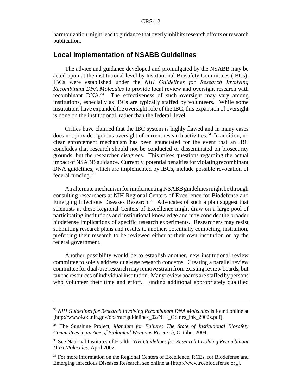harmonization might lead to guidance that overly inhibits research efforts or research publication.

### **Local Implementation of NSABB Guidelines**

The advice and guidance developed and promulgated by the NSABB may be acted upon at the institutional level by Institutional Biosafety Committees (IBCs). IBCs were established under the *NIH Guidelines for Research Involving Recombinant DNA Molecules* to provide local review and oversight research with recombinant DNA.<sup>33</sup> The effectiveness of such oversight may vary among institutions, especially as IBCs are typically staffed by volunteers. While some institutions have expanded the oversight role of the IBC, this expansion of oversight is done on the institutional, rather than the federal, level.

Critics have claimed that the IBC system is highly flawed and in many cases does not provide rigorous oversight of current research activities.<sup>34</sup> In addition, no clear enforcement mechanism has been enunciated for the event that an IBC concludes that research should not be conducted or disseminated on biosecurity grounds, but the researcher disagrees. This raises questions regarding the actual impact of NSABB guidance. Currently, potential penalties for violating recombinant DNA guidelines, which are implemented by IBCs, include possible revocation of federal funding.<sup>35</sup>

An alternate mechanism for implementing NSABB guidelines might be through consulting researchers at NIH Regional Centers of Excellence for Biodefense and Emerging Infectious Diseases Research.<sup>36</sup> Advocates of such a plan suggest that scientists at these Regional Centers of Excellence might draw on a large pool of participating institutions and institutional knowledge and may consider the broader biodefense implications of specific research experiments. Researchers may resist submitting research plans and results to another, potentially competing, institution, preferring their research to be reviewed either at their own institution or by the federal government.

Another possibility would be to establish another, new institutional review committee to solely address dual-use research concerns. Creating a parallel review committee for dual-use research may remove strain from existing review boards, but tax the resources of individual institution. Many review boards are staffed by persons who volunteer their time and effort. Finding additional appropriately qualified

<sup>&</sup>lt;sup>33</sup> NIH Guidelines for Research Involving Recombinant DNA Molecules is found online at [http://www4.od.nih.gov/oba/rac/guidelines\_02/NIH\_Gdlnes\_lnk\_2002z.pdf].

<sup>34</sup> The Sunshine Project, *Mandate for Failure: The State of Institutional Biosafety Committees in an Age of Biological Weapons Research*, October 2004.

<sup>35</sup> See National Institutes of Health, *NIH Guidelines for Research Involving Recombinant DNA Molecules*, April 2002.

<sup>&</sup>lt;sup>36</sup> For more information on the Regional Centers of Excellence, RCEs, for Biodefense and Emerging Infectious Diseases Research, see online at [http://www.rcebiodefense.org].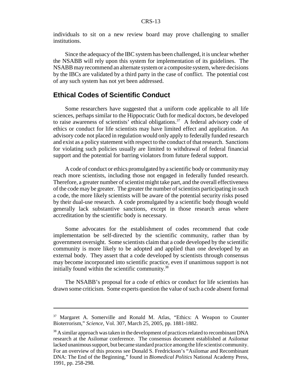individuals to sit on a new review board may prove challenging to smaller institutions.

Since the adequacy of the IBC system has been challenged, it is unclear whether the NSABB will rely upon this system for implementation of its guidelines. The NSABB may recommend an alternate system or a composite system, where decisions by the IBCs are validated by a third party in the case of conflict. The potential cost of any such system has not yet been addressed.

#### **Ethical Codes of Scientific Conduct**

Some researchers have suggested that a uniform code applicable to all life sciences, perhaps similar to the Hippocratic Oath for medical doctors, be developed to raise awareness of scientists' ethical obligations.<sup>37</sup> A federal advisory code of ethics or conduct for life scientists may have limited effect and application. An advisory code not placed in regulation would only apply to federally funded research and exist as a policy statement with respect to the conduct of that research. Sanctions for violating such policies usually are limited to withdrawal of federal financial support and the potential for barring violators from future federal support.

A code of conduct or ethics promulgated by a scientific body or community may reach more scientists, including those not engaged in federally funded research. Therefore, a greater number of scientist might take part, and the overall effectiveness of the code may be greater. The greater the number of scientists participating in such a code, the more likely scientists will be aware of the potential security risks posed by their dual-use research. A code promulgated by a scientific body though would generally lack substantive sanctions, except in those research areas where accreditation by the scientific body is necessary.

Some advocates for the establishment of codes recommend that code implementation be self-directed by the scientific community, rather than by government oversight. Some scientists claim that a code developed by the scientific community is more likely to be adopted and applied than one developed by an external body. They assert that a code developed by scientists through consensus may become incorporated into scientific practice, even if unanimous support is not initially found within the scientific community. $38$ 

The NSABB's proposal for a code of ethics or conduct for life scientists has drawn some criticism. Some experts question the value of such a code absent formal

<sup>&</sup>lt;sup>37</sup> Margaret A. Somerville and Ronald M. Atlas, "Ethics: A Weapon to Counter Bioterrorism," *Science*, Vol. 307, March 25, 2005, pp. 1881-1882.

<sup>&</sup>lt;sup>38</sup> A similar approach was taken in the development of practices related to recombinant DNA research at the Asilomar conference. The consensus document established at Asilomar lacked unanimous support, but became standard practice among the life scientist community. For an overview of this process see Donald S. Fredrickson's "Asilomar and Recombinant DNA: The End of the Beginning," found in *Biomedical Politics* National Academy Press, 1991, pp. 258-298.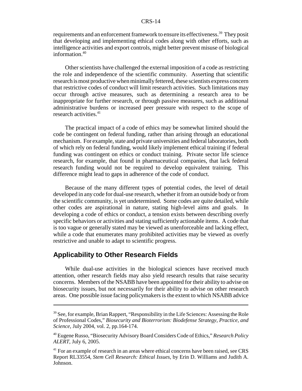requirements and an enforcement framework to ensure its effectiveness.<sup>39</sup> They posit that developing and implementing ethical codes along with other efforts, such as intelligence activities and export controls, might better prevent misuse of biological information.<sup>40</sup>

Other scientists have challenged the external imposition of a code as restricting the role and independence of the scientific community. Asserting that scientific research is most productive when minimally fettered, these scientists express concern that restrictive codes of conduct will limit research activities. Such limitations may occur through active measures, such as determining a research area to be inappropriate for further research, or through passive measures, such as additional administrative burdens or increased peer pressure with respect to the scope of research activities.<sup>41</sup>

The practical impact of a code of ethics may be somewhat limited should the code be contingent on federal funding, rather than arising through an educational mechanism. For example, state and private universities and federal laboratories, both of which rely on federal funding, would likely implement ethical training if federal funding was contingent on ethics or conduct training. Private sector life science research, for example, that found in pharmaceutical companies, that lack federal research funding would not be required to develop equivalent training. This difference might lead to gaps in adherence of the code of conduct.

Because of the many different types of potential codes, the level of detail developed in any code for dual-use research, whether it from an outside body or from the scientific community, is yet undetermined. Some codes are quite detailed, while other codes are aspirational in nature, stating high-level aims and goals. In developing a code of ethics or conduct, a tension exists between describing overly specific behaviors or activities and stating sufficiently actionable items. A code that is too vague or generally stated may be viewed as unenforceable and lacking effect, while a code that enumerates many prohibited activities may be viewed as overly restrictive and unable to adapt to scientific progress.

#### **Applicability to Other Research Fields**

While dual-use activities in the biological sciences have received much attention, other research fields may also yield research results that raise security concerns. Members of the NSABB have been appointed for their ability to advise on biosecurity issues, but not necessarily for their ability to advise on other research areas. One possible issue facing policymakers is the extent to which NSABB advice

 $39$  See, for example, Brian Rappert, "Responsibility in the Life Sciences: Assessing the Role of Professional Codes," *Biosecurity and Bioterrorism: Biodefense Strategy, Practice, and Science*, July 2004, vol. 2, pp.164-174.

<sup>40</sup> Eugene Russo, "Biosecurity Advisory Board Considers Code of Ethics," *Research Policy ALERT*, July 6, 2005.

<sup>&</sup>lt;sup>41</sup> For an example of research in an areas where ethical concerns have been raised, see CRS Report RL33554, *Stem Cell Research: Ethical Issues*, by Erin D. Williams and Judith A. Johnson.